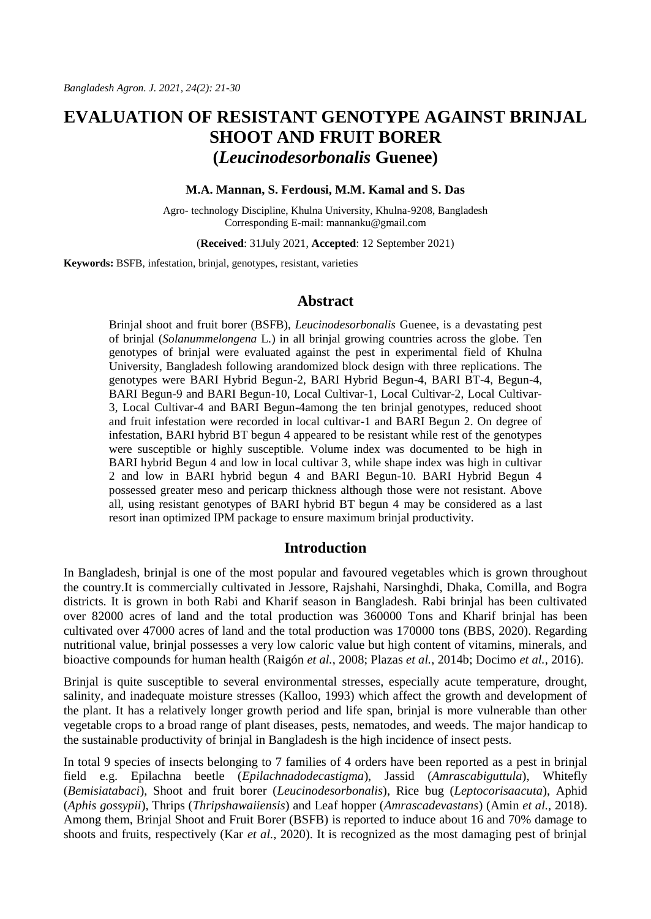# **EVALUATION OF RESISTANT GENOTYPE AGAINST BRINJAL SHOOT AND FRUIT BORER (***Leucinodesorbonalis* **Guenee)**

#### **M.A. Mannan, S. Ferdousi, M.M. Kamal and S. Das**

Agro- technology Discipline, Khulna University, Khulna-9208, Bangladesh Corresponding E-mail: mannanku@gmail.com

(**Received**: 31July 2021, **Accepted**: 12 September 2021)

**Keywords:** BSFB, infestation, brinjal, genotypes, resistant, varieties

### **Abstract**

Brinjal shoot and fruit borer (BSFB), *Leucinodesorbonalis* Guenee, is a devastating pest of brinjal (*Solanummelongena* L.) in all brinjal growing countries across the globe. Ten genotypes of brinjal were evaluated against the pest in experimental field of Khulna University, Bangladesh following arandomized block design with three replications. The genotypes were BARI Hybrid Begun-2, BARI Hybrid Begun-4, BARI BT-4, Begun-4, BARI Begun-9 and BARI Begun-10, Local Cultivar-1, Local Cultivar-2, Local Cultivar-3, Local Cultivar-4 and BARI Begun-4among the ten brinjal genotypes, reduced shoot and fruit infestation were recorded in local cultivar-1 and BARI Begun 2. On degree of infestation, BARI hybrid BT begun 4 appeared to be resistant while rest of the genotypes were susceptible or highly susceptible. Volume index was documented to be high in BARI hybrid Begun 4 and low in local cultivar 3, while shape index was high in cultivar 2 and low in BARI hybrid begun 4 and BARI Begun-10. BARI Hybrid Begun 4 possessed greater meso and pericarp thickness although those were not resistant. Above all, using resistant genotypes of BARI hybrid BT begun 4 may be considered as a last resort inan optimized IPM package to ensure maximum brinjal productivity.

### **Introduction**

In Bangladesh, brinjal is one of the most popular and favoured vegetables which is grown throughout the country.It is commercially cultivated in Jessore, Rajshahi, Narsinghdi, Dhaka, Comilla, and Bogra districts. It is grown in both Rabi and Kharif season in Bangladesh. Rabi brinjal has been cultivated over 82000 acres of land and the total production was 360000 Tons and Kharif brinjal has been cultivated over 47000 acres of land and the total production was 170000 tons (BBS, 2020). Regarding nutritional value, brinjal possesses a very low caloric value but high content of vitamins, minerals, and bioactive compounds for human health (Raigón *et al.*, 2008; Plazas *et al.*, 2014b; Docimo *et al.*, 2016).

Brinjal is quite susceptible to several environmental stresses, especially acute temperature, drought, salinity, and inadequate moisture stresses (Kalloo, 1993) which affect the growth and development of the plant. It has a relatively longer growth period and life span, brinjal is more vulnerable than other vegetable crops to a broad range of plant diseases, pests, nematodes, and weeds. The major handicap to the sustainable productivity of brinjal in Bangladesh is the high incidence of insect pests.

In total 9 species of insects belonging to 7 families of 4 orders have been reported as a pest in brinjal field e.g. Epilachna beetle (*Epilachnadodecastigma*), Jassid (*Amrascabiguttula*), Whitefly (*Bemisiatabaci*), Shoot and fruit borer (*Leucinodesorbonalis*), Rice bug (*Leptocorisaacuta*), Aphid (*Aphis gossypii*), Thrips (*Thripshawaiiensis*) and Leaf hopper (*Amrascadevastans*) (Amin *et al.*, 2018). Among them, Brinjal Shoot and Fruit Borer (BSFB) is reported to induce about 16 and 70% damage to shoots and fruits, respectively (Kar *et al.*, 2020). It is recognized as the most damaging pest of brinjal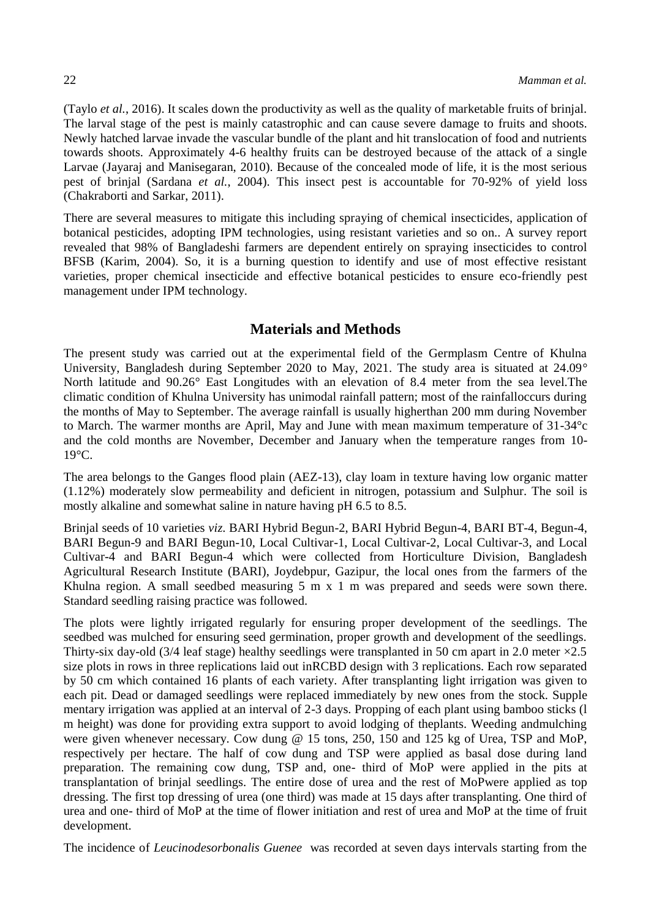(Taylo *et al.*, 2016). It scales down the productivity as well as the quality of marketable fruits of brinjal. The larval stage of the pest is mainly catastrophic and can cause severe damage to fruits and shoots. Newly hatched larvae invade the vascular bundle of the plant and hit translocation of food and nutrients towards shoots. Approximately 4-6 healthy fruits can be destroyed because of the attack of a single Larvae (Jayaraj and Manisegaran, 2010). Because of the concealed mode of life, it is the most serious pest of brinjal (Sardana *et al.*, 2004). This insect pest is accountable for 70-92% of yield loss (Chakraborti and Sarkar, 2011).

There are several measures to mitigate this including spraying of chemical insecticides, application of botanical pesticides, adopting IPM technologies, using resistant varieties and so on.. A survey report revealed that 98% of Bangladeshi farmers are dependent entirely on spraying insecticides to control BFSB (Karim, 2004). So, it is a burning question to identify and use of most effective resistant varieties, proper chemical insecticide and effective botanical pesticides to ensure eco-friendly pest management under IPM technology.

# **Materials and Methods**

The present study was carried out at the experimental field of the Germplasm Centre of Khulna University, Bangladesh during September 2020 to May, 2021. The study area is situated at 24.09° North latitude and 90.26° East Longitudes with an elevation of 8.4 meter from the sea level.The climatic condition of Khulna University has unimodal rainfall pattern; most of the rainfalloccurs during the months of May to September. The average rainfall is usually higherthan 200 mm during November to March. The warmer months are April, May and June with mean maximum temperature of 31-34°c and the cold months are November, December and January when the temperature ranges from 10- 19°C.

The area belongs to the Ganges flood plain (AEZ-13), clay loam in texture having low organic matter (1.12%) moderately slow permeability and deficient in nitrogen, potassium and Sulphur. The soil is mostly alkaline and somewhat saline in nature having pH 6.5 to 8.5.

Brinjal seeds of 10 varieties *viz*. BARI Hybrid Begun-2, BARI Hybrid Begun-4, BARI BT-4, Begun-4, BARI Begun-9 and BARI Begun-10, Local Cultivar-1, Local Cultivar-2, Local Cultivar-3, and Local Cultivar-4 and BARI Begun-4 which were collected from Horticulture Division, Bangladesh Agricultural Research Institute (BARI), Joydebpur, Gazipur, the local ones from the farmers of the Khulna region. A small seedbed measuring 5 m x 1 m was prepared and seeds were sown there. Standard seedling raising practice was followed.

The plots were lightly irrigated regularly for ensuring proper development of the seedlings. The seedbed was mulched for ensuring seed germination, proper growth and development of the seedlings. Thirty-six day-old (3/4 leaf stage) healthy seedlings were transplanted in 50 cm apart in 2.0 meter  $\times$ 2.5 size plots in rows in three replications laid out inRCBD design with 3 replications. Each row separated by 50 cm which contained 16 plants of each variety. After transplanting light irrigation was given to each pit. Dead or damaged seedlings were replaced immediately by new ones from the stock. Supple mentary irrigation was applied at an interval of 2-3 days. Propping of each plant using bamboo sticks (l m height) was done for providing extra support to avoid lodging of theplants. Weeding andmulching were given whenever necessary. Cow dung @ 15 tons, 250, 150 and 125 kg of Urea, TSP and MoP, respectively per hectare. The half of cow dung and TSP were applied as basal dose during land preparation. The remaining cow dung, TSP and, one- third of MoP were applied in the pits at transplantation of brinjal seedlings. The entire dose of urea and the rest of MoPwere applied as top dressing. The first top dressing of urea (one third) was made at 15 days after transplanting. One third of urea and one- third of MoP at the time of flower initiation and rest of urea and MoP at the time of fruit development.

The incidence of *Leucinodesorbonalis Guenee* was recorded at seven days intervals starting from the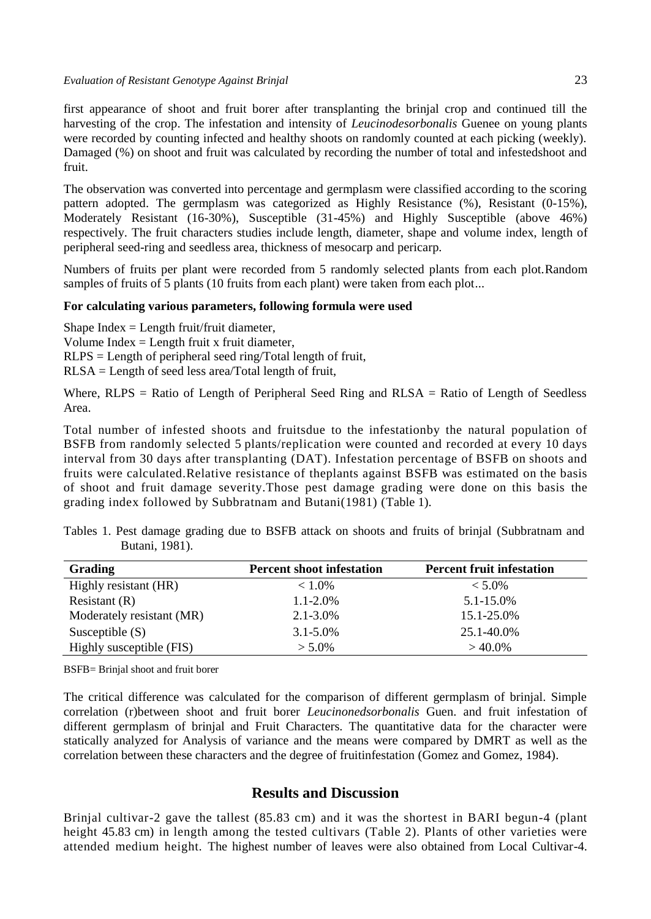first appearance of shoot and fruit borer after transplanting the brinjal crop and continued till the harvesting of the crop. The infestation and intensity of *Leucinodesorbonalis* Guenee on young plants were recorded by counting infected and healthy shoots on randomly counted at each picking (weekly). Damaged (%) on shoot and fruit was calculated by recording the number of total and infestedshoot and fruit.

The observation was converted into percentage and germplasm were classified according to the scoring pattern adopted. The germplasm was categorized as Highly Resistance (%), Resistant (0-15%), Moderately Resistant (16-30%), Susceptible (31-45%) and Highly Susceptible (above 46%) respectively. The fruit characters studies include length, diameter, shape and volume index, length of peripheral seed-ring and seedless area, thickness of mesocarp and pericarp.

Numbers of fruits per plant were recorded from 5 randomly selected plants from each plot.Random samples of fruits of 5 plants (10 fruits from each plant) were taken from each plot...

#### **For calculating various parameters, following formula were used**

Shape Index  $=$  Length fruit/fruit diameter, Volume Index  $=$  Length fruit x fruit diameter, RLPS = Length of peripheral seed ring/Total length of fruit, RLSA = Length of seed less area/Total length of fruit,

Where, RLPS = Ratio of Length of Peripheral Seed Ring and RLSA = Ratio of Length of Seedless Area.

Total number of infested shoots and fruitsdue to the infestationby the natural population of BSFB from randomly selected 5 plants/replication were counted and recorded at every 10 days interval from 30 days after transplanting (DAT). Infestation percentage of BSFB on shoots and fruits were calculated.Relative resistance of theplants against BSFB was estimated on the basis of shoot and fruit damage severity.Those pest damage grading were done on this basis the grading index followed by Subbratnam and Butani(1981) (Table 1).

| <b>Grading</b>            | <b>Percent shoot infestation</b> | <b>Percent fruit infestation</b> |
|---------------------------|----------------------------------|----------------------------------|
| Highly resistant (HR)     | $< 1.0\%$                        | $< 5.0\%$                        |
| Resistant $(R)$           | $1.1 - 2.0\%$                    | 5.1-15.0%                        |
| Moderately resistant (MR) | $2.1 - 3.0\%$                    | 15.1-25.0%                       |
| Susceptible $(S)$         | $3.1 - 5.0\%$                    | 25.1-40.0%                       |
| Highly susceptible (FIS)  | $> 5.0\%$                        | $>40.0\%$                        |

Tables 1. Pest damage grading due to BSFB attack on shoots and fruits of brinjal (Subbratnam and Butani, 1981).

BSFB= Brinjal shoot and fruit borer

The critical difference was calculated for the comparison of different germplasm of brinjal. Simple correlation (r)between shoot and fruit borer *Leucinonedsorbonalis* Guen. and fruit infestation of different germplasm of brinjal and Fruit Characters. The quantitative data for the character were statically analyzed for Analysis of variance and the means were compared by DMRT as well as the correlation between these characters and the degree of fruitinfestation (Gomez and Gomez, 1984).

# **Results and Discussion**

Brinjal cultivar-2 gave the tallest (85.83 cm) and it was the shortest in BARI begun-4 (plant height 45.83 cm) in length among the tested cultivars (Table 2). Plants of other varieties were attended medium height. The highest number of leaves were also obtained from Local Cultivar-4.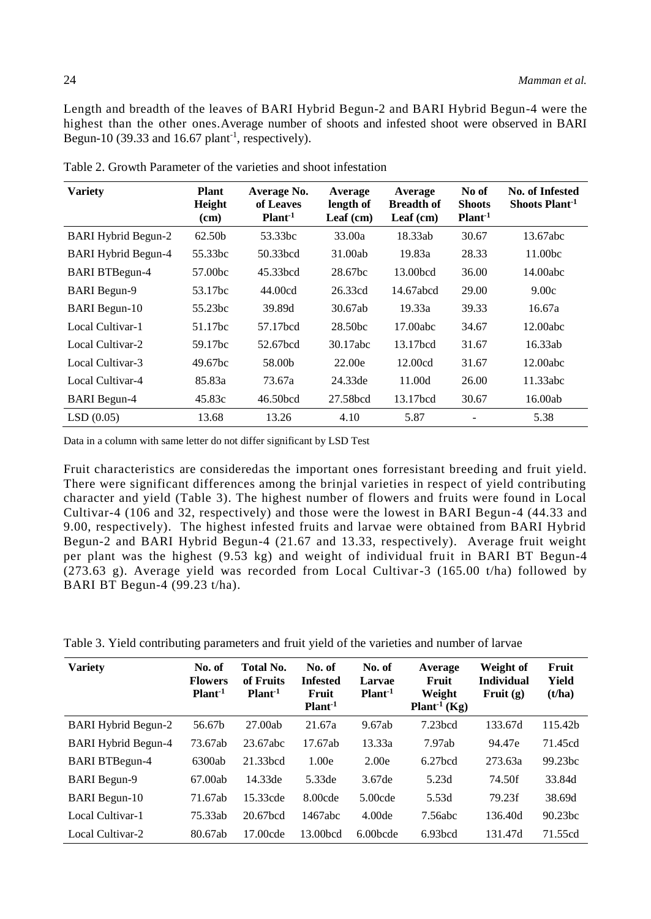Length and breadth of the leaves of BARI Hybrid Begun-2 and BARI Hybrid Begun-4 were the highest than the other ones.Average number of shoots and infested shoot were observed in BARI Begun-10 (39.33 and 16.67 plant<sup>-1</sup>, respectively).

| <b>Variety</b>             | <b>Plant</b><br>Height<br>(cm) | Average No.<br>of Leaves<br>Plant <sup>1</sup> | Average<br>length of<br>Leaf $(cm)$ | Average<br><b>Breadth of</b><br>Leaf $(cm)$ | No of<br><b>Shoots</b><br>Plant <sup>-1</sup> | <b>No. of Infested</b><br>Shoots Plant <sup>-1</sup> |
|----------------------------|--------------------------------|------------------------------------------------|-------------------------------------|---------------------------------------------|-----------------------------------------------|------------------------------------------------------|
| <b>BARI Hybrid Begun-2</b> | 62.50b                         | 53.33bc                                        | 33.00a                              | 18.33ab                                     | 30.67                                         | 13.67abc                                             |
| <b>BARI Hybrid Begun-4</b> | 55.33bc                        | 50.33bcd                                       | 31.00ab                             | 19.83a                                      | 28.33                                         | 11.00bc                                              |
| <b>BARI BTBegun-4</b>      | 57.00bc                        | 45.33bcd                                       | 28.67bc                             | 13.00bcd                                    | 36.00                                         | 14.00abc                                             |
| <b>BARI</b> Begun-9        | 53.17bc                        | 44.00cd                                        | 26.33cd                             | 14.67abcd                                   | 29.00                                         | 9.00c                                                |
| <b>BARI</b> Begun-10       | 55.23bc                        | 39.89d                                         | 30.67ab                             | 19.33a                                      | 39.33                                         | 16.67a                                               |
| Local Cultivar-1           | 51.17bc                        | 57.17bcd                                       | 28.50bc                             | 17.00abc                                    | 34.67                                         | 12.00abc                                             |
| Local Cultivar-2           | 59.17bc                        | 52.67bcd                                       | 30.17abc                            | 13.17bcd                                    | 31.67                                         | 16.33ab                                              |
| Local Cultivar-3           | 49.67bc                        | 58.00b                                         | 22.00e                              | 12.00cd                                     | 31.67                                         | 12.00abc                                             |
| Local Cultivar-4           | 85.83a                         | 73.67a                                         | 24.33de                             | 11.00d                                      | 26.00                                         | 11.33abc                                             |
| <b>BARI</b> Begun-4        | 45.83c                         | 46.50bcd                                       | 27.58bcd                            | 13.17bcd                                    | 30.67                                         | 16.00ab                                              |
| LSD(0.05)                  | 13.68                          | 13.26                                          | 4.10                                | 5.87                                        |                                               | 5.38                                                 |

Table 2. Growth Parameter of the varieties and shoot infestation

Data in a column with same letter do not differ significant by LSD Test

Fruit characteristics are consideredas the important ones forresistant breeding and fruit yield. There were significant differences among the brinjal varieties in respect of yield contributing character and yield (Table 3). The highest number of flowers and fruits were found in Local Cultivar-4 (106 and 32, respectively) and those were the lowest in BARI Begun-4 (44.33 and 9.00, respectively). The highest infested fruits and larvae were obtained from BARI Hybrid Begun-2 and BARI Hybrid Begun-4 (21.67 and 13.33, respectively). Average fruit weight per plant was the highest (9.53 kg) and weight of individual fruit in BARI BT Begun-4 (273.63 g). Average yield was recorded from Local Cultivar-3 (165.00 t/ha) followed by BARI BT Begun-4 (99.23 t/ha).

| Table 3. Yield contributing parameters and fruit yield of the varieties and number of larvae |  |  |
|----------------------------------------------------------------------------------------------|--|--|
|                                                                                              |  |  |

| <b>Variety</b>             | No. of<br><b>Flowers</b><br>$Plant-1$ | Total No.<br>of Fruits<br>Plant <sup>1</sup> | No. of<br><b>Infested</b><br>Fruit<br>Plant <sup>1</sup> | No. of<br>Larvae<br>Plant <sup>1</sup> | Average<br>Fruit<br>Weight<br>Plant <sup>-1</sup> (Kg) | Weight of<br><b>Individual</b><br>Fruit $(g)$ | Fruit<br>Yield<br>(t/ha) |
|----------------------------|---------------------------------------|----------------------------------------------|----------------------------------------------------------|----------------------------------------|--------------------------------------------------------|-----------------------------------------------|--------------------------|
| <b>BARI Hybrid Begun-2</b> | 56.67b                                | 27.00ab                                      | 21.67a                                                   | 9.67ab                                 | $7.23$ bcd                                             | 133.67d                                       | 115.42b                  |
| <b>BARI Hybrid Begun-4</b> | 73.67ab                               | 23.67abc                                     | 17.67ab                                                  | 13.33a                                 | 7.97ab                                                 | 94.47e                                        | 71.45cd                  |
| <b>BARI BTBegun-4</b>      | 6300ab                                | 21.33 <sub>bcd</sub>                         | 1.00e                                                    | 2.00e                                  | $6.27$ <sub>bcd</sub>                                  | 273.63a                                       | 99.23 <sub>bc</sub>      |
| <b>BARI</b> Begun-9        | 67.00ab                               | 14.33de                                      | 5.33de                                                   | 3.67de                                 | 5.23d                                                  | 74.50f                                        | 33.84d                   |
| <b>BARI</b> Begun-10       | 71.67ab                               | 15.33cde                                     | $8.00$ cde                                               | $5.00$ cde                             | 5.53d                                                  | 79.23f                                        | 38.69d                   |
| Local Cultivar-1           | 75.33ab                               | 20.67 <sub>bcd</sub>                         | 1467abc                                                  | 4.00 <sub>de</sub>                     | 7.56abc                                                | 136.40d                                       | 90.23 <sub>bc</sub>      |
| Local Cultivar-2           | 80.67ab                               | 17.00cde                                     | 13.00 <sub>bcd</sub>                                     | $6.00$ <sub>bcde</sub>                 | 6.93 <sub>bcd</sub>                                    | 131.47d                                       | 71.55cd                  |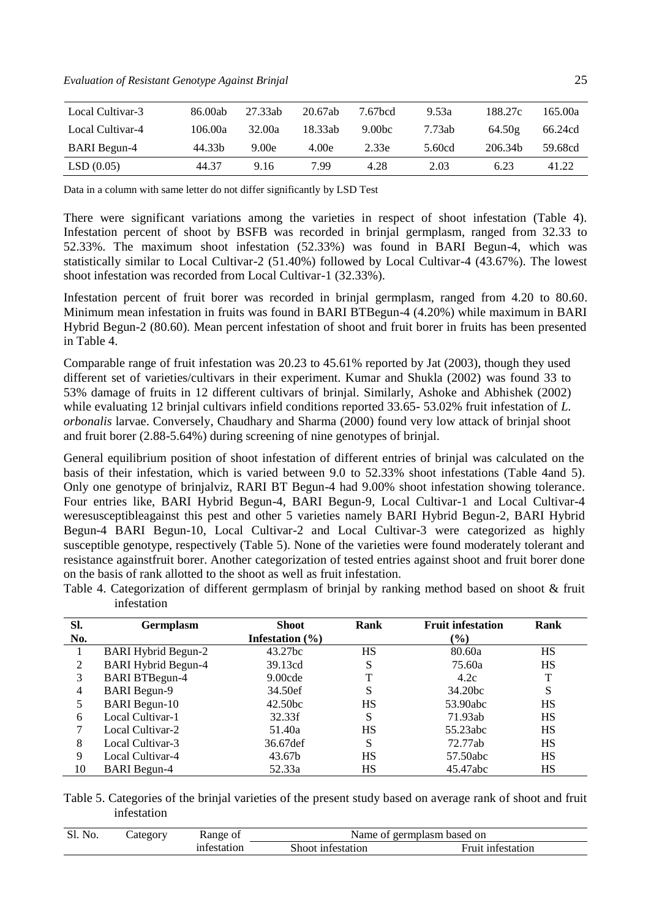*Evaluation of Resistant Genotype Against Brinjal* 25

| Local Cultivar-3    | 86.00ab | 27.33ab | 20.67ab | 7.67bcd            | 9.53a  | 188.27c | 165.00a |
|---------------------|---------|---------|---------|--------------------|--------|---------|---------|
| Local Cultivar-4    | 106.00a | 32.00a  | 18.33ab | 9.00 <sub>bc</sub> | 7.73ab | 64.50g  | 66.24cd |
| <b>BARI</b> Begun-4 | 44.33b  | 9.00e   | 4.00e   | 2.33e              | 5.60cd | 206.34b | 59.68cd |
| LSD(0.05)           | 44.37   | 9.16    | 7.99    | 4.28               | 2.03   | 6.23    | 41.22   |

Data in a column with same letter do not differ significantly by LSD Test

There were significant variations among the varieties in respect of shoot infestation (Table 4). Infestation percent of shoot by BSFB was recorded in brinjal germplasm, ranged from 32.33 to 52.33%. The maximum shoot infestation (52.33%) was found in BARI Begun-4, which was statistically similar to Local Cultivar-2 (51.40%) followed by Local Cultivar-4 (43.67%). The lowest shoot infestation was recorded from Local Cultivar-1 (32.33%).

Infestation percent of fruit borer was recorded in brinjal germplasm, ranged from 4.20 to 80.60. Minimum mean infestation in fruits was found in BARI BTBegun-4 (4.20%) while maximum in BARI Hybrid Begun-2 (80.60). Mean percent infestation of shoot and fruit borer in fruits has been presented in Table 4.

Comparable range of fruit infestation was 20.23 to 45.61% reported by Jat (2003), though they used different set of varieties/cultivars in their experiment. Kumar and Shukla (2002) was found 33 to 53% damage of fruits in 12 different cultivars of brinjal. Similarly, Ashoke and Abhishek (2002) while evaluating 12 brinjal cultivars infield conditions reported 33.65- 53.02% fruit infestation of *L*. *orbonalis* larvae. Conversely, Chaudhary and Sharma (2000) found very low attack of brinjal shoot and fruit borer (2.88-5.64%) during screening of nine genotypes of brinjal.

General equilibrium position of shoot infestation of different entries of brinjal was calculated on the basis of their infestation, which is varied between 9.0 to 52.33% shoot infestations (Table 4and 5). Only one genotype of brinjalviz, RARI BT Begun-4 had 9.00% shoot infestation showing tolerance. Four entries like, BARI Hybrid Begun-4, BARI Begun-9, Local Cultivar-1 and Local Cultivar-4 weresusceptibleagainst this pest and other 5 varieties namely BARI Hybrid Begun-2, BARI Hybrid Begun-4 BARI Begun-10, Local Cultivar-2 and Local Cultivar-3 were categorized as highly susceptible genotype, respectively (Table 5). None of the varieties were found moderately tolerant and resistance againstfruit borer. Another categorization of tested entries against shoot and fruit borer done on the basis of rank allotted to the shoot as well as fruit infestation.

| SI.            | <b>Germplasm</b>           | Shoot               | Rank | <b>Fruit infestation</b> | Rank |
|----------------|----------------------------|---------------------|------|--------------------------|------|
| No.            |                            | Infestation $(\% )$ |      | $\frac{6}{6}$            |      |
|                | <b>BARI Hybrid Begun-2</b> | 43.27bc             | HS   | 80.60a                   | HS   |
| 2              | <b>BARI Hybrid Begun-4</b> | 39.13cd             | S    | 75.60a                   | HS   |
| 3              | <b>BARI BTBegun-4</b>      | 9.00cde             |      | 4.2c                     |      |
| $\overline{4}$ | <b>BARI</b> Begun-9        | 34.50ef             | S    | 34.20 <sub>bc</sub>      | S    |
| 5              | <b>BARI</b> Begun-10       | 42.50bc             | HS   | 53.90abc                 | НS   |
| 6              | Local Cultivar-1           | 32.33f              | S    | 71.93ab                  | HS   |
| 7              | Local Cultivar-2           | 51.40a              | HS   | 55.23abc                 | HS   |
| 8              | Local Cultivar-3           | 36.67def            | S    | 72.77ab                  | HS   |
| 9              | Local Cultivar-4           | 43.67b              | HS   | 57.50abc                 | HS   |
| 10             | <b>BARI</b> Begun-4        | 52.33a              | HS   | 45.47abc                 | HS   |

Table 4. Categorization of different germplasm of brinjal by ranking method based on shoot & fruit infestation

Table 5. Categories of the brinjal varieties of the present study based on average rank of shoot and fruit infestation

| Sl.<br>No. | Lategory | Range of    | Name of germplasm based on |                   |  |  |
|------------|----------|-------------|----------------------------|-------------------|--|--|
|            |          | infestation | Shoot infestation          | Fruit infestation |  |  |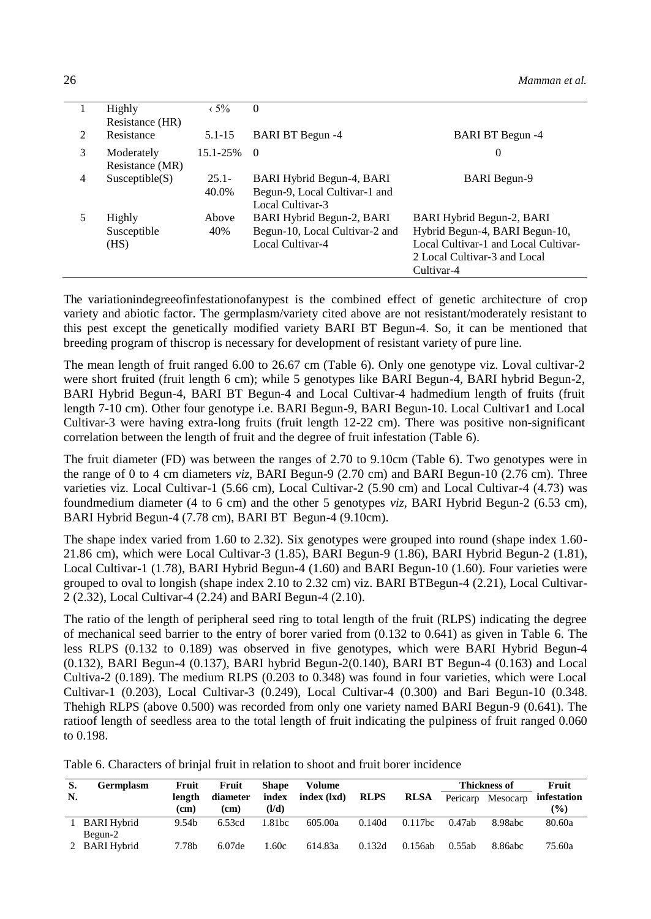|                             | Highly          | $\langle 5\%$     | $\Omega$                       |                                      |
|-----------------------------|-----------------|-------------------|--------------------------------|--------------------------------------|
|                             | Resistance (HR) |                   |                                |                                      |
| $\mathcal{D}_{\mathcal{A}}$ | Resistance      | $5.1 - 15$        | <b>BARI BT Begun -4</b>        | <b>BARI BT Begun -4</b>              |
| 3                           | Moderately      | $15.1 - 25\% = 0$ |                                | 0                                    |
|                             | Resistance (MR) |                   |                                |                                      |
| 4                           | Susceptible(S)  | $25.1 -$          | BARI Hybrid Begun-4, BARI      | <b>BARI</b> Begun-9                  |
|                             |                 | 40.0%             | Begun-9, Local Cultivar-1 and  |                                      |
|                             |                 |                   | Local Cultivar-3               |                                      |
|                             | Highly          | Above             | BARI Hybrid Begun-2, BARI      | BARI Hybrid Begun-2, BARI            |
|                             | Susceptible     | 40%               | Begun-10, Local Cultivar-2 and | Hybrid Begun-4, BARI Begun-10,       |
|                             | (HS)            |                   | Local Cultivar-4               | Local Cultivar-1 and Local Cultivar- |
|                             |                 |                   |                                | 2 Local Cultivar-3 and Local         |
|                             |                 |                   |                                | Cultivar-4                           |

The variationindegreeofinfestationofanypest is the combined effect of genetic architecture of crop variety and abiotic factor. The germplasm/variety cited above are not resistant/moderately resistant to this pest except the genetically modified variety BARI BT Begun-4. So, it can be mentioned that breeding program of thiscrop is necessary for development of resistant variety of pure line.

The mean length of fruit ranged 6.00 to 26.67 cm (Table 6). Only one genotype viz. Loval cultivar-2 were short fruited (fruit length 6 cm); while 5 genotypes like BARI Begun-4, BARI hybrid Begun-2, BARI Hybrid Begun-4, BARI BT Begun-4 and Local Cultivar-4 hadmedium length of fruits (fruit length 7-10 cm). Other four genotype i.e. BARI Begun-9, BARI Begun-10. Local Cultivar1 and Local Cultivar-3 were having extra-long fruits (fruit length 12-22 cm). There was positive non-significant correlation between the length of fruit and the degree of fruit infestation (Table 6).

The fruit diameter (FD) was between the ranges of 2.70 to 9.10cm (Table 6). Two genotypes were in the range of 0 to 4 cm diameters *viz*, BARI Begun-9 (2.70 cm) and BARI Begun-10 (2.76 cm). Three varieties viz. Local Cultivar-1 (5.66 cm), Local Cultivar-2 (5.90 cm) and Local Cultivar-4 (4.73) was foundmedium diameter (4 to 6 cm) and the other 5 genotypes *viz,* BARI Hybrid Begun-2 (6.53 cm), BARI Hybrid Begun-4 (7.78 cm), BARI BT Begun-4 (9.10cm).

The shape index varied from 1.60 to 2.32). Six genotypes were grouped into round (shape index 1.60- 21.86 cm), which were Local Cultivar-3 (1.85), BARI Begun-9 (1.86), BARI Hybrid Begun-2 (1.81), Local Cultivar-1 (1.78), BARI Hybrid Begun-4 (1.60) and BARI Begun-10 (1.60). Four varieties were grouped to oval to longish (shape index 2.10 to 2.32 cm) viz. BARI BTBegun-4 (2.21), Local Cultivar-2 (2.32), Local Cultivar-4 (2.24) and BARI Begun-4 (2.10).

The ratio of the length of peripheral seed ring to total length of the fruit (RLPS) indicating the degree of mechanical seed barrier to the entry of borer varied from (0.132 to 0.641) as given in Table 6. The less RLPS (0.132 to 0.189) was observed in five genotypes, which were BARI Hybrid Begun-4 (0.132), BARI Begun-4 (0.137), BARI hybrid Begun-2(0.140), BARI BT Begun-4 (0.163) and Local Cultiva-2 (0.189). The medium RLPS (0.203 to 0.348) was found in four varieties, which were Local Cultivar-1 (0.203), Local Cultivar-3 (0.249), Local Cultivar-4 (0.300) and Bari Begun-10 (0.348. Thehigh RLPS (above 0.500) was recorded from only one variety named BARI Begun-9 (0.641). The ratioof length of seedless area to the total length of fruit indicating the pulpiness of fruit ranged 0.060 to 0.198.

Table 6. Characters of brinjal fruit in relation to shoot and fruit borer incidence

| S. | Germplasm                     | Fruit             | Fruit              | <b>Shape</b> | Volume      |             |             |          | <b>Thickness of</b> | Fruit       |
|----|-------------------------------|-------------------|--------------------|--------------|-------------|-------------|-------------|----------|---------------------|-------------|
| N. |                               | length            | diameter           | index        | index (1xd) | <b>RLPS</b> | <b>RLSA</b> | Pericarp | Mesocarp            | infestation |
|    |                               | (cm)              | (c <sub>m</sub> )  | (1/d)        |             |             |             |          |                     | $($ %)      |
|    | <b>BARI Hybrid</b><br>Begun-2 | 9.54 <sub>b</sub> | 6.53cd             | 1.81bc       | 605.00a     | 0.140d      | $0.117$ bc  | 0.47ab   | 8.98abc             | 80.60a      |
|    | 2 BARI Hybrid                 | 7.78b             | 6.07 <sub>de</sub> | 1.60c        | 614.83a     | 0.132d      | 0.156ab     | 0.55ab   | 8.86abc             | 75.60a      |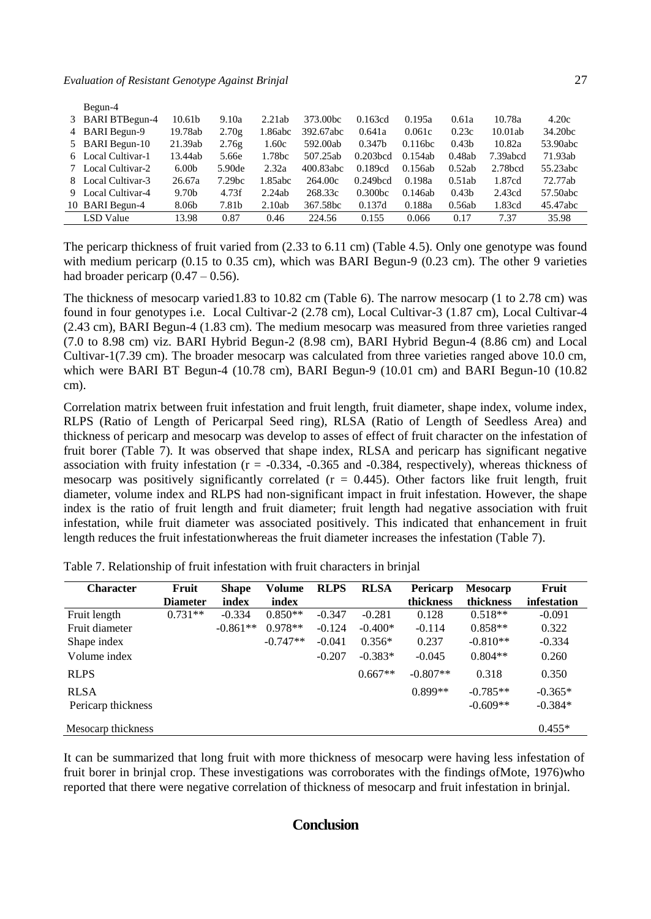|   | Begun-4            |                   |                    |         |                      |                     |            |                   |                     |          |
|---|--------------------|-------------------|--------------------|---------|----------------------|---------------------|------------|-------------------|---------------------|----------|
| 3 | BARI BTBegun-4     | 10.61b            | 9.10a              | 2.21ab  | 373.00 <sub>bc</sub> | 0.163cd             | 0.195a     | 0.61a             | 10.78a              | 4.20c    |
|   | 4 BARI Begun-9     | 19.78ab           | 2.70g              | 1.86abc | 392.67abc            | 0.641a              | 0.061c     | 0.23c             | 10.01ab             | 34.20bc  |
|   | 5 BARI Begun-10    | 21.39ab           | 2.76g              | 1.60c   | 592.00ab             | 0.347 <sub>b</sub>  | $0.11$ 6bc | 0.43 <sub>b</sub> | 10.82a              | 53.90abc |
|   | 6 Local Cultivar-1 | 13.44ab           | 5.66e              | 1.78bc  | 507.25ab             | $0.203$ bcd         | 0.154ab    | 0.48ab            | 7.39abcd            | 71.93ab  |
| 7 | Local Cultivar-2   | 6.00 <sub>b</sub> | 5.90de             | 2.32a   | 400.83abc            | 0.189cd             | 0.156ab    | 0.52ab            | 2.78 <sub>bcd</sub> | 55.23abc |
|   | 8 Local Cultivar-3 | 26.67a            | 7.29 <sub>bc</sub> | 1.85abc | 264.00c              | $0.249$ bcd         | 0.198a     | 0.51ab            | 1.87cd              | 72.77ab  |
|   | 9 Local Cultivar-4 | 9.70b             | 4.73f              | 2.24ab  | 268.33c              | 0.300 <sub>bc</sub> | 0.146ab    | 0.43 <sub>b</sub> | 2.43cd              | 57.50abc |
|   | 10 BARI Begun-4    | 8.06b             | 7.81b              | 2.10ab  | 367.58bc             | 0.137d              | 0.188a     | 0.56ab            | 1.83cd              | 45.47abc |
|   | LSD Value          | 13.98             | 0.87               | 0.46    | 224.56               | 0.155               | 0.066      | 0.17              | 7.37                | 35.98    |

The pericarp thickness of fruit varied from (2.33 to 6.11 cm) (Table 4.5). Only one genotype was found with medium pericarp (0.15 to 0.35 cm), which was BARI Begun-9 (0.23 cm). The other 9 varieties had broader pericarp  $(0.47 - 0.56)$ .

The thickness of mesocarp varied1.83 to 10.82 cm (Table 6). The narrow mesocarp (1 to 2.78 cm) was found in four genotypes i.e. Local Cultivar-2 (2.78 cm), Local Cultivar-3 (1.87 cm), Local Cultivar-4 (2.43 cm), BARI Begun-4 (1.83 cm). The medium mesocarp was measured from three varieties ranged (7.0 to 8.98 cm) viz. BARI Hybrid Begun-2 (8.98 cm), BARI Hybrid Begun-4 (8.86 cm) and Local Cultivar-1(7.39 cm). The broader mesocarp was calculated from three varieties ranged above 10.0 cm, which were BARI BT Begun-4 (10.78 cm), BARI Begun-9 (10.01 cm) and BARI Begun-10 (10.82 cm).

Correlation matrix between fruit infestation and fruit length, fruit diameter, shape index, volume index, RLPS (Ratio of Length of Pericarpal Seed ring), RLSA (Ratio of Length of Seedless Area) and thickness of pericarp and mesocarp was develop to asses of effect of fruit character on the infestation of fruit borer (Table 7). It was observed that shape index, RLSA and pericarp has significant negative association with fruity infestation (r = -0.334, -0.365 and -0.384, respectively), whereas thickness of mesocarp was positively significantly correlated  $(r = 0.445)$ . Other factors like fruit length, fruit diameter, volume index and RLPS had non-significant impact in fruit infestation. However, the shape index is the ratio of fruit length and fruit diameter; fruit length had negative association with fruit infestation, while fruit diameter was associated positively. This indicated that enhancement in fruit length reduces the fruit infestationwhereas the fruit diameter increases the infestation (Table 7).

| <b>Character</b>   | Fruit           | <b>Shape</b> | Volume     | <b>RLPS</b> | <b>RLSA</b> | Pericarp   | <b>Mesocarp</b> | Fruit       |
|--------------------|-----------------|--------------|------------|-------------|-------------|------------|-----------------|-------------|
|                    | <b>Diameter</b> | index        | index      |             |             | thickness  | thickness       | infestation |
| Fruit length       | $0.731**$       | $-0.334$     | $0.850**$  | $-0.347$    | $-0.281$    | 0.128      | $0.518**$       | $-0.091$    |
| Fruit diameter     |                 | $-0.861**$   | $0.978**$  | $-0.124$    | $-0.400*$   | $-0.114$   | $0.858**$       | 0.322       |
| Shape index        |                 |              | $-0.747**$ | $-0.041$    | $0.356*$    | 0.237      | $-0.810**$      | $-0.334$    |
| Volume index       |                 |              |            | $-0.207$    | $-0.383*$   | $-0.045$   | $0.804**$       | 0.260       |
| <b>RLPS</b>        |                 |              |            |             | $0.667**$   | $-0.807**$ | 0.318           | 0.350       |
| <b>RLSA</b>        |                 |              |            |             |             | $0.899**$  | $-0.785**$      | $-0.365*$   |
| Pericarp thickness |                 |              |            |             |             |            | $-0.609**$      | $-0.384*$   |
| Mesocarp thickness |                 |              |            |             |             |            |                 | $0.455*$    |

Table 7. Relationship of fruit infestation with fruit characters in brinjal

It can be summarized that long fruit with more thickness of mesocarp were having less infestation of fruit borer in brinjal crop. These investigations was corroborates with the findings ofMote, 1976)who reported that there were negative correlation of thickness of mesocarp and fruit infestation in brinjal.

# **Conclusion**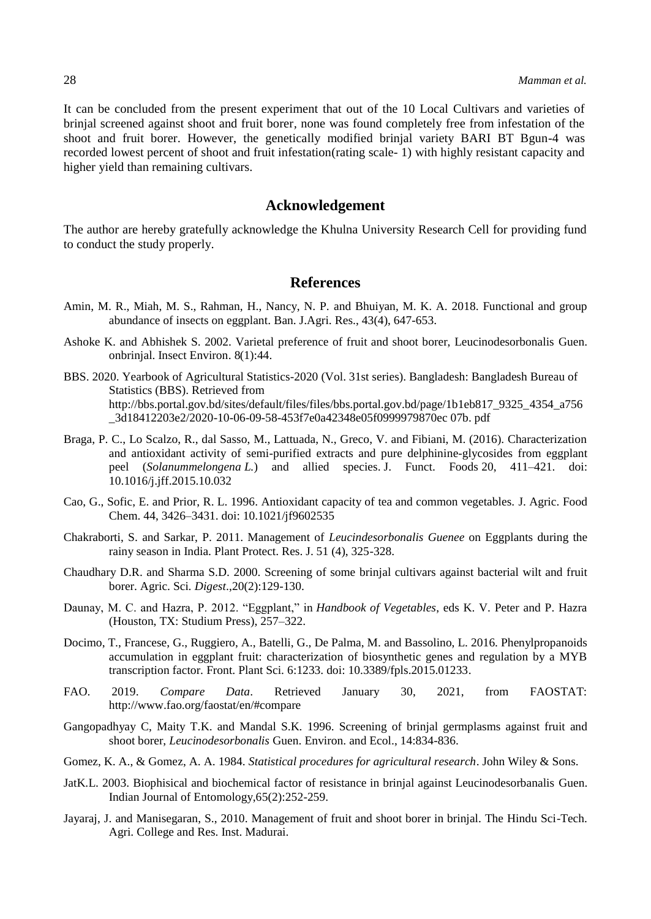It can be concluded from the present experiment that out of the 10 Local Cultivars and varieties of brinjal screened against shoot and fruit borer*,* none was found completely free from infestation of the shoot and fruit borer. However, the genetically modified brinjal variety BARI BT Bgun-4 was recorded lowest percent of shoot and fruit infestation(rating scale- 1) with highly resistant capacity and higher yield than remaining cultivars.

### **Acknowledgement**

The author are hereby gratefully acknowledge the Khulna University Research Cell for providing fund to conduct the study properly.

### **References**

- Amin, M. R., Miah, M. S., Rahman, H., Nancy, N. P. and Bhuiyan, M. K. A. 2018. Functional and group abundance of insects on eggplant. Ban. J.Agri. Res., 43(4), 647-653.
- Ashoke K. and Abhishek S. 2002. Varietal preference of fruit and shoot borer, Leucinodesorbonalis Guen. onbrinjal. Insect Environ. 8(1):44.
- BBS. 2020. Yearbook of Agricultural Statistics-2020 (Vol. 31st series). Bangladesh: Bangladesh Bureau of Statistics (BBS). Retrieved from [http://bbs.portal.gov.bd/sites/default/files/files/bbs.portal.gov.bd/page/1b1eb817\\_9325\\_4354\\_a756](http://bbs.portal.gov.bd/sites/default/files/files/bbs.portal.gov.bd/page/1b1eb817_9325_4354_a756_3d18412203e2/2020-10-06-09-58-453f7e0a42348e05f0999979870ec%2007b.%20pdf) [\\_3d18412203e2/2020-10-06-09-58-453f7e0a42348e05f0999979870ec 07b. pdf](http://bbs.portal.gov.bd/sites/default/files/files/bbs.portal.gov.bd/page/1b1eb817_9325_4354_a756_3d18412203e2/2020-10-06-09-58-453f7e0a42348e05f0999979870ec%2007b.%20pdf)
- Braga, P. C., Lo Scalzo, R., dal Sasso, M., Lattuada, N., Greco, V. and Fibiani, M. (2016). Characterization and antioxidant activity of semi-purified extracts and pure delphinine-glycosides from eggplant peel (*Solanummelongena L.*) and allied species. J. Funct. Foods 20, 411–421. doi: 10.1016/j.jff.2015.10.032
- Cao, G., Sofic, E. and Prior, R. L. 1996. Antioxidant capacity of tea and common vegetables. J. Agric. Food Chem. 44, 3426–3431. doi: 10.1021/jf9602535
- Chakraborti, S. and Sarkar, P. 2011. Management of *Leucindesorbonalis Guenee* on Eggplants during the rainy season in India. Plant Protect. Res. J. 51 (4), 325-328.
- Chaudhary D.R. and Sharma S.D. 2000. Screening of some brinjal cultivars against bacterial wilt and fruit borer. Agric. Sci*. Digest*.,20(2):129-130.
- Daunay, M. C. and Hazra, P. 2012. "Eggplant," in *Handbook of Vegetables*, eds K. V. Peter and P. Hazra (Houston, TX: Studium Press), 257–322.
- Docimo, T., Francese, G., Ruggiero, A., Batelli, G., De Palma, M. and Bassolino, L. 2016. Phenylpropanoids accumulation in eggplant fruit: characterization of biosynthetic genes and regulation by a MYB transcription factor. Front. Plant Sci. 6:1233. doi: 10.3389/fpls.2015.01233.
- FAO. 2019. *Compare Data*. Retrieved January 30, 2021, from FAOSTAT: http://www.fao.org/faostat/en/#compare
- Gangopadhyay C, Maity T.K. and Mandal S.K. 1996. Screening of brinjal germplasms against fruit and shoot borer, *Leucinodesorbonalis* Guen. Environ. and Ecol., 14:834-836.
- Gomez, K. A., & Gomez, A. A. 1984. *Statistical procedures for agricultural research*. John Wiley & Sons.
- JatK.L. 2003. Biophisical and biochemical factor of resistance in brinjal against Leucinodesorbanalis Guen. Indian Journal of Entomology,65(2):252-259.
- Jayaraj, J. and Manisegaran, S., 2010. Management of fruit and shoot borer in brinjal. The Hindu Sci-Tech. Agri. College and Res. Inst. Madurai.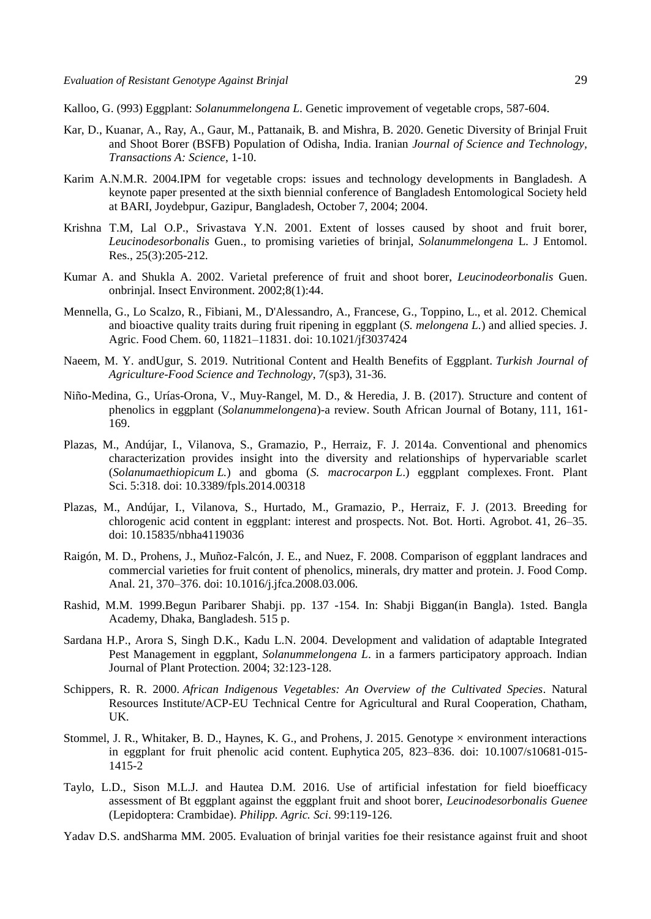Kalloo, G. (993) Eggplant: *Solanummelongena L*. Genetic improvement of vegetable crops, 587-604.

- Kar, D., Kuanar, A., Ray, A., Gaur, M., Pattanaik, B. and Mishra, B. 2020. Genetic Diversity of Brinjal Fruit and Shoot Borer (BSFB) Population of Odisha, India. Iranian *Journal of Science and Technology, Transactions A: Science*, 1-10.
- Karim A.N.M.R. 2004.IPM for vegetable crops: issues and technology developments in Bangladesh. A keynote paper presented at the sixth biennial conference of Bangladesh Entomological Society held at BARI, Joydebpur, Gazipur, Bangladesh, October 7, 2004; 2004.
- Krishna T.M, Lal O.P., Srivastava Y.N. 2001. Extent of losses caused by shoot and fruit borer, *Leucinodesorbonalis* Guen., to promising varieties of brinjal, *Solanummelongena* L. J Entomol. Res., 25(3):205-212.
- Kumar A. and Shukla A. 2002. Varietal preference of fruit and shoot borer, *Leucinodeorbonalis* Guen. onbrinjal. Insect Environment. 2002;8(1):44.
- Mennella, G., Lo Scalzo, R., Fibiani, M., D'Alessandro, A., Francese, G., Toppino, L., et al. 2012. Chemical and bioactive quality traits during fruit ripening in eggplant (*S. melongena L.*) and allied species. J. Agric. Food Chem. 60, 11821–11831. doi: 10.1021/jf3037424
- Naeem, M. Y. andUgur, S. 2019. Nutritional Content and Health Benefits of Eggplant. *Turkish Journal of Agriculture-Food Science and Technology*, 7(sp3), 31-36.
- Niño-Medina, G., Urías-Orona, V., Muy-Rangel, M. D., & Heredia, J. B. (2017). Structure and content of phenolics in eggplant (*Solanummelongena*)-a review. South African Journal of Botany, 111, 161- 169.
- Plazas, M., Andújar, I., Vilanova, S., Gramazio, P., Herraiz, F. J. 2014a. Conventional and phenomics characterization provides insight into the diversity and relationships of hypervariable scarlet (*Solanumaethiopicum L.*) and gboma (*S. macrocarpon L*.) eggplant complexes. Front. Plant Sci. 5:318. doi: 10.3389/fpls.2014.00318
- Plazas, M., Andújar, I., Vilanova, S., Hurtado, M., Gramazio, P., Herraiz, F. J. (2013. Breeding for chlorogenic acid content in eggplant: interest and prospects. Not. Bot. Horti. Agrobot. 41, 26–35. doi: 10.15835/nbha4119036
- Raigón, M. D., Prohens, J., Muñoz-Falcón, J. E., and Nuez, F. 2008. Comparison of eggplant landraces and commercial varieties for fruit content of phenolics, minerals, dry matter and protein. J. Food Comp. Anal. 21, 370–376. doi: 10.1016/j.jfca.2008.03.006.
- Rashid, M.M. 1999.Begun Paribarer Shabji. pp. 137 -154. In: Shabji Biggan(in Bangla). 1sted. Bangla Academy, Dhaka, Bangladesh. 515 p.
- Sardana H.P., Arora S, Singh D.K., Kadu L.N. 2004. Development and validation of adaptable Integrated Pest Management in eggplant, *Solanummelongena L*. in a farmers participatory approach. Indian Journal of Plant Protection. 2004; 32:123-128.
- Schippers, R. R. 2000. *African Indigenous Vegetables: An Overview of the Cultivated Species*. Natural Resources Institute/ACP-EU Technical Centre for Agricultural and Rural Cooperation, Chatham, UK.
- Stommel, J. R., Whitaker, B. D., Haynes, K. G., and Prohens, J. 2015. Genotype  $\times$  environment interactions in eggplant for fruit phenolic acid content. Euphytica 205, 823–836. doi: 10.1007/s10681-015- 1415-2
- Taylo, L.D., Sison M.L.J. and Hautea D.M. 2016. Use of artificial infestation for field bioefficacy assessment of Bt eggplant against the eggplant fruit and shoot borer, *Leucinodesorbonalis Guenee* (Lepidoptera: Crambidae). *Philipp. Agric. Sci*. 99:119-126.
- Yadav D.S. andSharma MM. 2005. Evaluation of brinjal varities foe their resistance against fruit and shoot